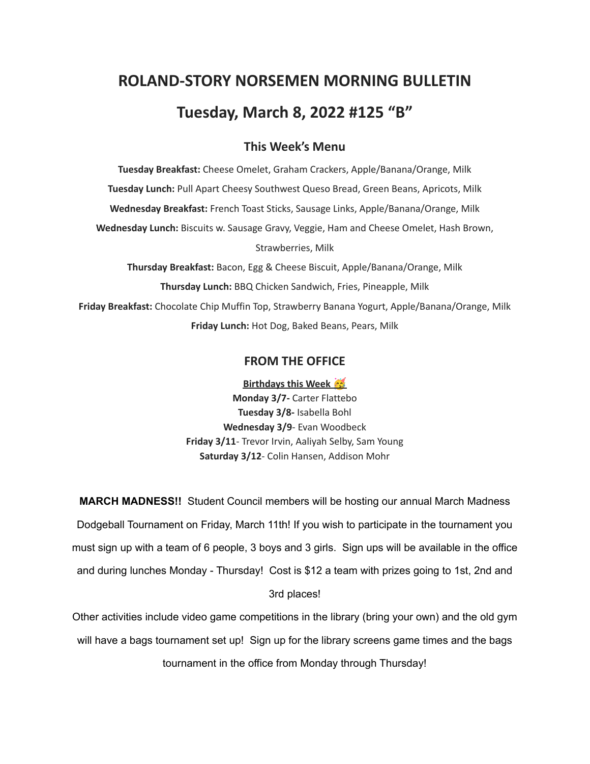# **ROLAND-STORY NORSEMEN MORNING BULLETIN Tuesday, March 8, 2022 #125 "B"**

## **This Week's Menu**

**Tuesday Breakfast:** Cheese Omelet, Graham Crackers, Apple/Banana/Orange, Milk **Tuesday Lunch:** Pull Apart Cheesy Southwest Queso Bread, Green Beans, Apricots, Milk **Wednesday Breakfast:** French Toast Sticks, Sausage Links, Apple/Banana/Orange, Milk **Wednesday Lunch:** Biscuits w. Sausage Gravy, Veggie, Ham and Cheese Omelet, Hash Brown, Strawberries, Milk **Thursday Breakfast:** Bacon, Egg & Cheese Biscuit, Apple/Banana/Orange, Milk

**Thursday Lunch:** BBQ Chicken Sandwich, Fries, Pineapple, Milk **Friday Breakfast:** Chocolate Chip Muffin Top, Strawberry Banana Yogurt, Apple/Banana/Orange, Milk **Friday Lunch:** Hot Dog, Baked Beans, Pears, Milk

### **FROM THE OFFICE**

**Birthdays this Week Monday 3/7-** Carter Flattebo **Tuesday 3/8-** Isabella Bohl **Wednesday 3/9**- Evan Woodbeck **Friday 3/11**- Trevor Irvin, Aaliyah Selby, Sam Young **Saturday 3/12**- Colin Hansen, Addison Mohr

**MARCH MADNESS!!** Student Council members will be hosting our annual March Madness Dodgeball Tournament on Friday, March 11th! If you wish to participate in the tournament you must sign up with a team of 6 people, 3 boys and 3 girls. Sign ups will be available in the office and during lunches Monday - Thursday! Cost is \$12 a team with prizes going to 1st, 2nd and 3rd places!

Other activities include video game competitions in the library (bring your own) and the old gym will have a bags tournament set up! Sign up for the library screens game times and the bags tournament in the office from Monday through Thursday!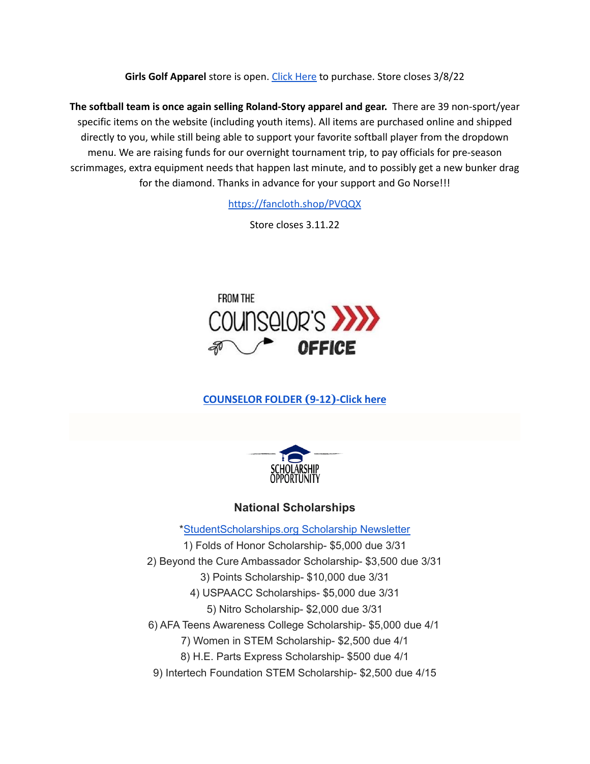**Girls Golf Apparel** store is open. Click [Here](https://rsgirlsgolf22.itemorder.com/shop/sale/) to purchase. Store closes 3/8/22

**The softball team is once again selling Roland-Story apparel and gear.** There are 39 non-sport/year specific items on the website (including youth items). All items are purchased online and shipped directly to you, while still being able to support your favorite softball player from the dropdown menu. We are raising funds for our overnight tournament trip, to pay officials for pre-season scrimmages, extra equipment needs that happen last minute, and to possibly get a new bunker drag for the diamond. Thanks in advance for your support and Go Norse!!!

<https://fancloth.shop/PVQQX>

Store closes 3.11.22



# **[COUNSELOR FOLDER](https://docs.google.com/document/d/1vmwczNPbDzXe9vFaG5LJMQ7NYDv-i4oQJHybqA65TUc/edit?usp=sharing) (9-12)-Click here**



# **National Scholarships**

\*[StudentScholarships.org](https://drive.google.com/file/d/1aKuYCxaIenxt8B4T0eqnsOyNXu4NmKys/view?usp=sharing) Scholarship Newsletter 1) Folds of Honor Scholarship- \$5,000 due 3/31 2) Beyond the Cure Ambassador Scholarship- \$3,500 due 3/31 3) Points Scholarship- \$10,000 due 3/31 4) USPAACC Scholarships- \$5,000 due 3/31 5) Nitro Scholarship- \$2,000 due 3/31 6) AFA Teens Awareness College Scholarship- \$5,000 due 4/1 7) Women in STEM Scholarship- \$2,500 due 4/1 8) H.E. Parts Express Scholarship- \$500 due 4/1 9) Intertech Foundation STEM Scholarship- \$2,500 due 4/15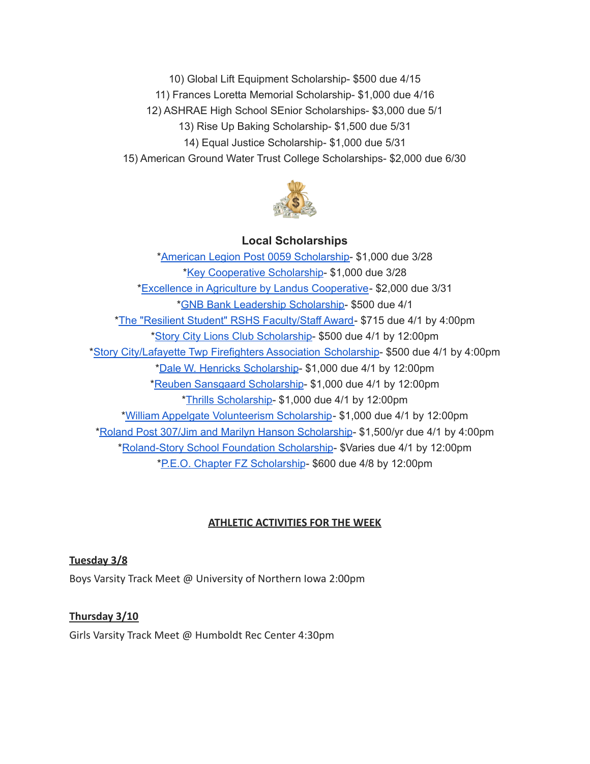10) Global Lift Equipment Scholarship- \$500 due 4/15 11) Frances Loretta Memorial Scholarship- \$1,000 due 4/16 12) ASHRAE High School SEnior Scholarships- \$3,000 due 5/1 13) Rise Up Baking Scholarship- \$1,500 due 5/31 14) Equal Justice Scholarship- \$1,000 due 5/31 15) American Ground Water Trust College Scholarships- \$2,000 due 6/30



#### **Local Scholarships**

\*American Legion Post 0059 [Scholarship-](https://docs.google.com/document/d/1l-XzWNNfwZmA3zDkeW8VPeqqzYTnZ3IFLE4h0i05GGI/edit?usp=sharing) \$1,000 due 3/28 \*Key [Cooperative](https://storcoopmediafilesprd.blob.core.windows.net/atlasportals/all-media/keycoope/website/documents/2021-2022-scholarship-packet.pdf) Scholarship- \$1,000 due 3/28 \*Excellence in Agriculture by Landus [Cooperative](https://www.landuscooperative.com/about-us/community/excellence-in-ag-scholarship-application)- \$2,000 due 3/31 \*GNB Bank Leadership [Scholarship-](https://www.gnbbank.com/resources/story-city-leadership-scholarship) \$500 due 4/1 \*The "Resilient Student" RSHS [Faculty/Staff](https://docs.google.com/document/d/1DolWUUWkhc9uRV9cDZrlwnYTIr44UcPiFxY4Xkupsj0/edit?usp=sharing) Award- \$715 due 4/1 by 4:00pm \*Story City Lions Club [Scholarship](https://docs.google.com/document/d/1z7ucMbK4WEvvNb9NVBe3FD28h53iTSawX8qWUl0m6oA/edit?usp=sharing)- \$500 due 4/1 by 12:00pm \*Story [City/Lafayette](https://docs.google.com/document/d/1DRZOK0yQEV5eI7SDx7LBRARU3wUClkRxSl4DFl1TSOU/edit?usp=sharing) Twp Firefighters Association Scholarship- \$500 due 4/1 by 4:00pm \*Dale W. Henricks [Scholarship](https://docs.google.com/document/d/1QlRIHdvRzmxNbdfucF4hyEJ2MzvAer_LqN1C1bAIIOk/edit?usp=sharing)- \$1,000 due 4/1 by 12:00pm \*Reuben Sansgaard [Scholarship](https://docs.google.com/document/d/1LR2RwFYr7AG3FUyGWVx12ymv-TE93qQbHet9jzHKVyU/edit?usp=sharing)- \$1,000 due 4/1 by 12:00pm \*Thrills [Scholarship-](https://docs.google.com/document/d/1QJta3C5yzfZrCdazRN4EIHX3l1EGl8av38jpxH3JqyU/edit?usp=sharing) \$1,000 due 4/1 by 12:00pm \*William Appelgate [Volunteerism](https://docs.google.com/document/d/1w4rNFOTwAFqpjEvS-51FwYbhvd6fQvigs1578zBW-tw/edit?usp=sharing) Scholarship- \$1,000 due 4/1 by 12:00pm \*Roland Post 307/Jim and Marilyn Hanson [Scholarship](https://docs.google.com/document/d/1hGUuBTFqrA-IeXjmN94zoUkQR-ErMDrUDyJX0Yc3fx0/edit?usp=sharing)- \$1,500/yr due 4/1 by 4:00pm \*[Roland-Story](https://docs.google.com/document/d/1L-tgrmtRhI17mbAynBf7wRqcn4feF0ftZ4YQ7eolHUI/edit?usp=sharing) School Foundation Scholarship- \$Varies due 4/1 by 12:00pm \*P.E.O. Chapter FZ [Scholarship](https://docs.google.com/document/d/19CXzRMwS8vgsFQp15nEDAukCMhM346iLMtD0MfgDF8A/edit?usp=sharing)- \$600 due 4/8 by 12:00pm

#### **ATHLETIC ACTIVITIES FOR THE WEEK**

#### **Tuesday 3/8**

Boys Varsity Track Meet @ University of Northern Iowa 2:00pm

#### **Thursday 3/10**

Girls Varsity Track Meet @ Humboldt Rec Center 4:30pm